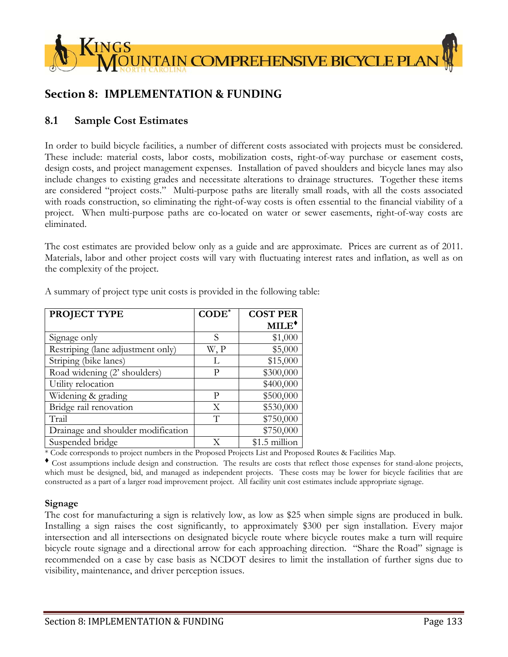

# **Section 8: IMPLEMENTATION & FUNDING**

## **8.1 Sample Cost Estimates**

In order to build bicycle facilities, a number of different costs associated with projects must be considered. These include: material costs, labor costs, mobilization costs, right-of-way purchase or easement costs, design costs, and project management expenses. Installation of paved shoulders and bicycle lanes may also include changes to existing grades and necessitate alterations to drainage structures. Together these items are considered "project costs." Multi-purpose paths are literally small roads, with all the costs associated with roads construction, so eliminating the right-of-way costs is often essential to the financial viability of a project. When multi-purpose paths are co-located on water or sewer easements, right-of-way costs are eliminated.

The cost estimates are provided below only as a guide and are approximate. Prices are current as of 2011. Materials, labor and other project costs will vary with fluctuating interest rates and inflation, as well as on the complexity of the project.

| PROJECT TYPE                       | $CODE*$ | <b>COST PER</b> |
|------------------------------------|---------|-----------------|
|                                    |         | $MILE^*$        |
| Signage only                       | S       | \$1,000         |
| Restriping (lane adjustment only)  | W, P    | \$5,000         |
| Striping (bike lanes)              | L       | \$15,000        |
| Road widening (2' shoulders)       | р       | \$300,000       |
| Utility relocation                 |         | \$400,000       |
| Widening & grading                 | P       | \$500,000       |
| Bridge rail renovation             | Χ       | \$530,000       |
| Trail                              | $\top$  | \$750,000       |
| Drainage and shoulder modification |         | \$750,000       |
| Suspended bridge                   | X       | \$1.5 million   |

A summary of project type unit costs is provided in the following table:

\* Code corresponds to project numbers in the Proposed Projects List and Proposed Routes & Facilities Map.

 Cost assumptions include design and construction. The results are costs that reflect those expenses for stand-alone projects, which must be designed, bid, and managed as independent projects. These costs may be lower for bicycle facilities that are constructed as a part of a larger road improvement project. All facility unit cost estimates include appropriate signage.

#### **Signage**

The cost for manufacturing a sign is relatively low, as low as \$25 when simple signs are produced in bulk. Installing a sign raises the cost significantly, to approximately \$300 per sign installation. Every major intersection and all intersections on designated bicycle route where bicycle routes make a turn will require bicycle route signage and a directional arrow for each approaching direction. "Share the Road" signage is recommended on a case by case basis as NCDOT desires to limit the installation of further signs due to visibility, maintenance, and driver perception issues.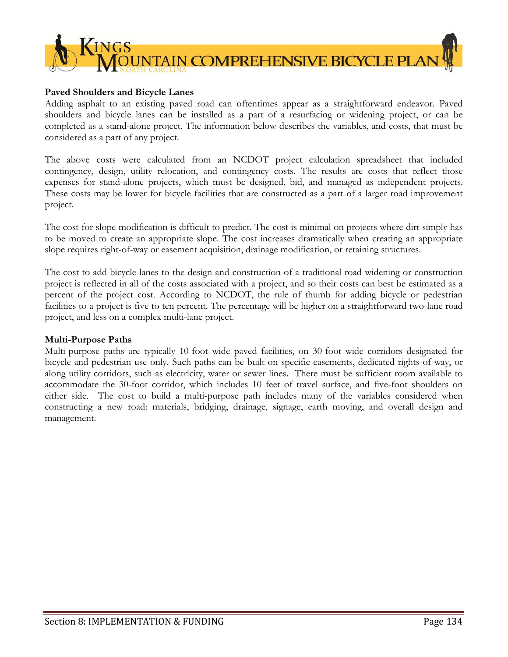

### **Paved Shoulders and Bicycle Lanes**

Adding asphalt to an existing paved road can oftentimes appear as a straightforward endeavor. Paved shoulders and bicycle lanes can be installed as a part of a resurfacing or widening project, or can be completed as a stand-alone project. The information below describes the variables, and costs, that must be considered as a part of any project.

The above costs were calculated from an NCDOT project calculation spreadsheet that included contingency, design, utility relocation, and contingency costs. The results are costs that reflect those expenses for stand-alone projects, which must be designed, bid, and managed as independent projects. These costs may be lower for bicycle facilities that are constructed as a part of a larger road improvement project.

The cost for slope modification is difficult to predict. The cost is minimal on projects where dirt simply has to be moved to create an appropriate slope. The cost increases dramatically when creating an appropriate slope requires right-of-way or easement acquisition, drainage modification, or retaining structures.

The cost to add bicycle lanes to the design and construction of a traditional road widening or construction project is reflected in all of the costs associated with a project, and so their costs can best be estimated as a percent of the project cost. According to NCDOT, the rule of thumb for adding bicycle or pedestrian facilities to a project is five to ten percent. The percentage will be higher on a straightforward two-lane road project, and less on a complex multi-lane project.

#### **Multi-Purpose Paths**

Multi-purpose paths are typically 10-foot wide paved facilities, on 30-foot wide corridors designated for bicycle and pedestrian use only. Such paths can be built on specific easements, dedicated rights-of way, or along utility corridors, such as electricity, water or sewer lines. There must be sufficient room available to accommodate the 30-foot corridor, which includes 10 feet of travel surface, and five-foot shoulders on either side. The cost to build a multi-purpose path includes many of the variables considered when constructing a new road: materials, bridging, drainage, signage, earth moving, and overall design and management.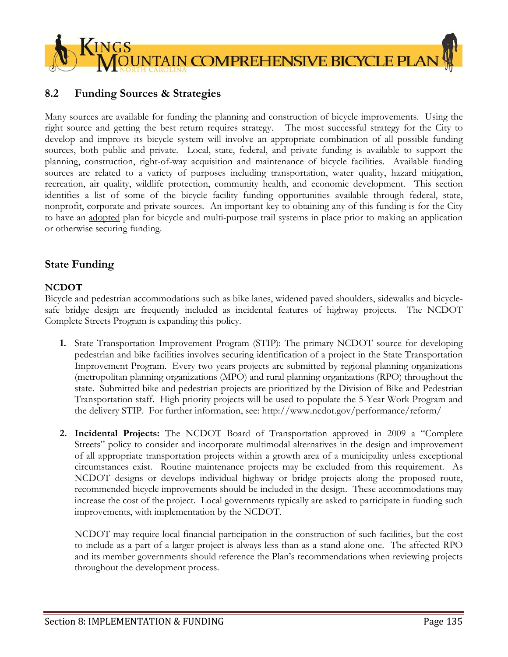

# **8.2 Funding Sources & Strategies**

Many sources are available for funding the planning and construction of bicycle improvements. Using the right source and getting the best return requires strategy. The most successful strategy for the City to develop and improve its bicycle system will involve an appropriate combination of all possible funding sources, both public and private. Local, state, federal, and private funding is available to support the planning, construction, right-of-way acquisition and maintenance of bicycle facilities. Available funding sources are related to a variety of purposes including transportation, water quality, hazard mitigation, recreation, air quality, wildlife protection, community health, and economic development. This section identifies a list of some of the bicycle facility funding opportunities available through federal, state, nonprofit, corporate and private sources. An important key to obtaining any of this funding is for the City to have an adopted plan for bicycle and multi-purpose trail systems in place prior to making an application or otherwise securing funding.

# **State Funding**

## **NCDOT**

Bicycle and pedestrian accommodations such as bike lanes, widened paved shoulders, sidewalks and bicyclesafe bridge design are frequently included as incidental features of highway projects. The NCDOT Complete Streets Program is expanding this policy.

- **1.** State Transportation Improvement Program (STIP): The primary NCDOT source for developing pedestrian and bike facilities involves securing identification of a project in the State Transportation Improvement Program. Every two years projects are submitted by regional planning organizations (metropolitan planning organizations (MPO) and rural planning organizations (RPO) throughout the state. Submitted bike and pedestrian projects are prioritized by the Division of Bike and Pedestrian Transportation staff. High priority projects will be used to populate the 5-Year Work Program and the delivery STIP. For further information, see: http://www.ncdot.gov/performance/reform/
- **2. Incidental Projects:** The NCDOT Board of Transportation approved in 2009 a "Complete Streets" policy to consider and incorporate multimodal alternatives in the design and improvement of all appropriate transportation projects within a growth area of a municipality unless exceptional circumstances exist. Routine maintenance projects may be excluded from this requirement. As NCDOT designs or develops individual highway or bridge projects along the proposed route, recommended bicycle improvements should be included in the design. These accommodations may increase the cost of the project. Local governments typically are asked to participate in funding such improvements, with implementation by the NCDOT.

NCDOT may require local financial participation in the construction of such facilities, but the cost to include as a part of a larger project is always less than as a stand-alone one. The affected RPO and its member governments should reference the Plan's recommendations when reviewing projects throughout the development process.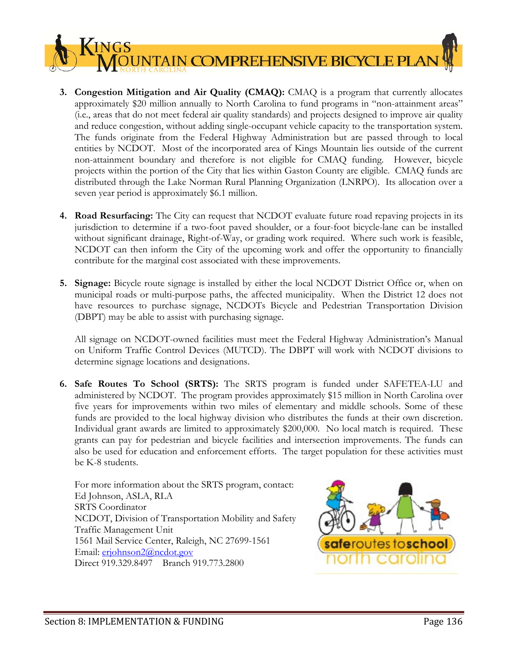**3. Congestion Mitigation and Air Quality (CMAQ):** CMAQ is a program that currently allocates approximately \$20 million annually to North Carolina to fund programs in "non-attainment areas" (i.e., areas that do not meet federal air quality standards) and projects designed to improve air quality and reduce congestion, without adding single-occupant vehicle capacity to the transportation system. The funds originate from the Federal Highway Administration but are passed through to local entities by NCDOT. Most of the incorporated area of Kings Mountain lies outside of the current non-attainment boundary and therefore is not eligible for CMAQ funding. However, bicycle projects within the portion of the City that lies within Gaston County are eligible. CMAQ funds are distributed through the Lake Norman Rural Planning Organization (LNRPO). Its allocation over a seven year period is approximately \$6.1 million.

TAIN COMPREHENSIVE BICYCLE PLA

- **4. Road Resurfacing:** The City can request that NCDOT evaluate future road repaving projects in its jurisdiction to determine if a two-foot paved shoulder, or a four-foot bicycle-lane can be installed without significant drainage, Right-of-Way, or grading work required. Where such work is feasible, NCDOT can then inform the City of the upcoming work and offer the opportunity to financially contribute for the marginal cost associated with these improvements.
- **5. Signage:** Bicycle route signage is installed by either the local NCDOT District Office or, when on municipal roads or multi-purpose paths, the affected municipality. When the District 12 does not have resources to purchase signage, NCDOTs Bicycle and Pedestrian Transportation Division (DBPT) may be able to assist with purchasing signage.

All signage on NCDOT-owned facilities must meet the Federal Highway Administration's Manual on Uniform Traffic Control Devices (MUTCD). The DBPT will work with NCDOT divisions to determine signage locations and designations.

**6. Safe Routes To School (SRTS):** The SRTS program is funded under SAFETEA-LU and administered by NCDOT. The program provides approximately \$15 million in North Carolina over five years for improvements within two miles of elementary and middle schools. Some of these funds are provided to the local highway division who distributes the funds at their own discretion. Individual grant awards are limited to approximately \$200,000. No local match is required. These grants can pay for pedestrian and bicycle facilities and intersection improvements. The funds can also be used for education and enforcement efforts. The target population for these activities must be K-8 students.

For more information about the SRTS program, contact: Ed Johnson, ASLA, RLA SRTS Coordinator NCDOT, Division of Transportation Mobility and Safety Traffic Management Unit 1561 Mail Service Center, Raleigh, NC 27699-1561 Email: erjohnson2@ncdot.gov Direct 919.329.8497 Branch 919.773.2800



**INGS**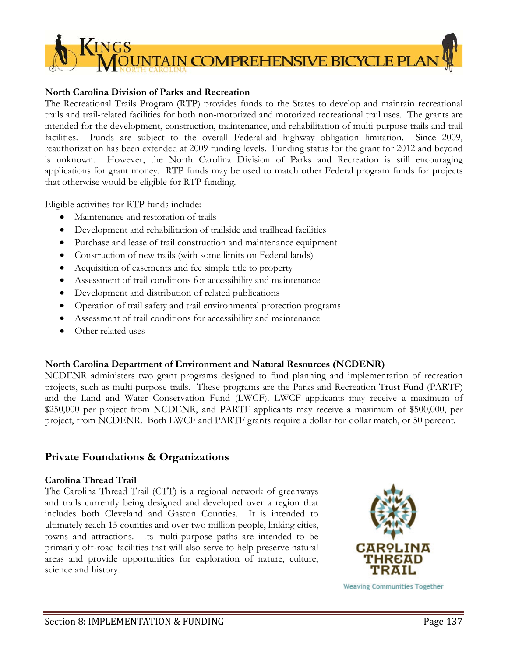

### **North Carolina Division of Parks and Recreation**

The Recreational Trails Program (RTP) provides funds to the States to develop and maintain recreational trails and trail-related facilities for both non-motorized and motorized recreational trail uses. The grants are intended for the development, construction, maintenance, and rehabilitation of multi-purpose trails and trail facilities. Funds are subject to the overall Federal-aid highway obligation limitation. Since 2009, reauthorization has been extended at 2009 funding levels. Funding status for the grant for 2012 and beyond is unknown. However, the North Carolina Division of Parks and Recreation is still encouraging applications for grant money. RTP funds may be used to match other Federal program funds for projects that otherwise would be eligible for RTP funding.

Eligible activities for RTP funds include:

- Maintenance and restoration of trails
- Development and rehabilitation of trailside and trailhead facilities
- Purchase and lease of trail construction and maintenance equipment
- Construction of new trails (with some limits on Federal lands)
- Acquisition of easements and fee simple title to property
- Assessment of trail conditions for accessibility and maintenance
- Development and distribution of related publications
- Operation of trail safety and trail environmental protection programs
- Assessment of trail conditions for accessibility and maintenance
- Other related uses

#### **North Carolina Department of Environment and Natural Resources (NCDENR)**

NCDENR administers two grant programs designed to fund planning and implementation of recreation projects, such as multi-purpose trails. These programs are the Parks and Recreation Trust Fund (PARTF) and the Land and Water Conservation Fund (LWCF). LWCF applicants may receive a maximum of \$250,000 per project from NCDENR, and PARTF applicants may receive a maximum of \$500,000, per project, from NCDENR. Both LWCF and PARTF grants require a dollar-for-dollar match, or 50 percent.

## **Private Foundations & Organizations**

#### **Carolina Thread Trail**

The Carolina Thread Trail (CTT) is a regional network of greenways and trails currently being designed and developed over a region that includes both Cleveland and Gaston Counties. It is intended to ultimately reach 15 counties and over two million people, linking cities, towns and attractions. Its multi-purpose paths are intended to be primarily off-road facilities that will also serve to help preserve natural areas and provide opportunities for exploration of nature, culture, science and history.



**Weaving Communities Together**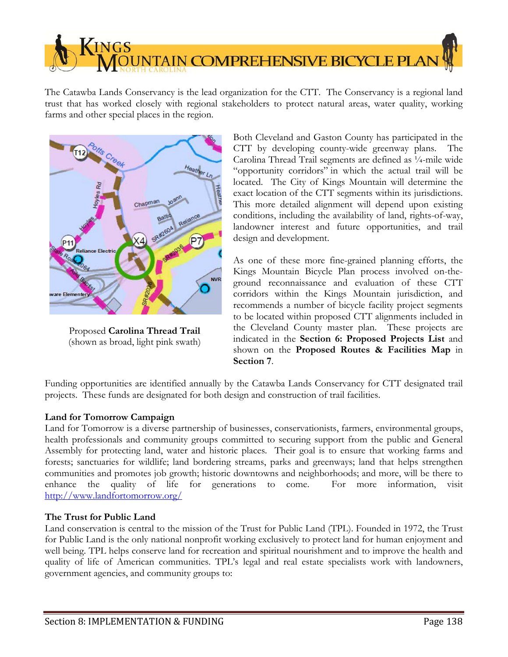**NTAIN COMPREHENSIVE BICYCLE PLAI** 

The Catawba Lands Conservancy is the lead organization for the CTT. The Conservancy is a regional land trust that has worked closely with regional stakeholders to protect natural areas, water quality, working farms and other special places in the region.



**INGS** 

Proposed **Carolina Thread Trail** (shown as broad, light pink swath)

Both Cleveland and Gaston County has participated in the CTT by developing county-wide greenway plans. The Carolina Thread Trail segments are defined as ¼-mile wide "opportunity corridors" in which the actual trail will be located. The City of Kings Mountain will determine the exact location of the CTT segments within its jurisdictions. This more detailed alignment will depend upon existing conditions, including the availability of land, rights-of-way, landowner interest and future opportunities, and trail design and development.

As one of these more fine-grained planning efforts, the Kings Mountain Bicycle Plan process involved on-theground reconnaissance and evaluation of these CTT corridors within the Kings Mountain jurisdiction, and recommends a number of bicycle facility project segments to be located within proposed CTT alignments included in the Cleveland County master plan. These projects are indicated in the **Section 6: Proposed Projects List** and shown on the **Proposed Routes & Facilities Map** in **Section 7**.

Funding opportunities are identified annually by the Catawba Lands Conservancy for CTT designated trail projects. These funds are designated for both design and construction of trail facilities.

#### **Land for Tomorrow Campaign**

Land for Tomorrow is a diverse partnership of businesses, conservationists, farmers, environmental groups, health professionals and community groups committed to securing support from the public and General Assembly for protecting land, water and historic places. Their goal is to ensure that working farms and forests; sanctuaries for wildlife; land bordering streams, parks and greenways; land that helps strengthen communities and promotes job growth; historic downtowns and neighborhoods; and more, will be there to enhance the quality of life for generations to come. For more information, visit http://www.landfortomorrow.org/

#### **The Trust for Public Land**

Land conservation is central to the mission of the Trust for Public Land (TPL). Founded in 1972, the Trust for Public Land is the only national nonprofit working exclusively to protect land for human enjoyment and well being. TPL helps conserve land for recreation and spiritual nourishment and to improve the health and quality of life of American communities. TPL's legal and real estate specialists work with landowners, government agencies, and community groups to: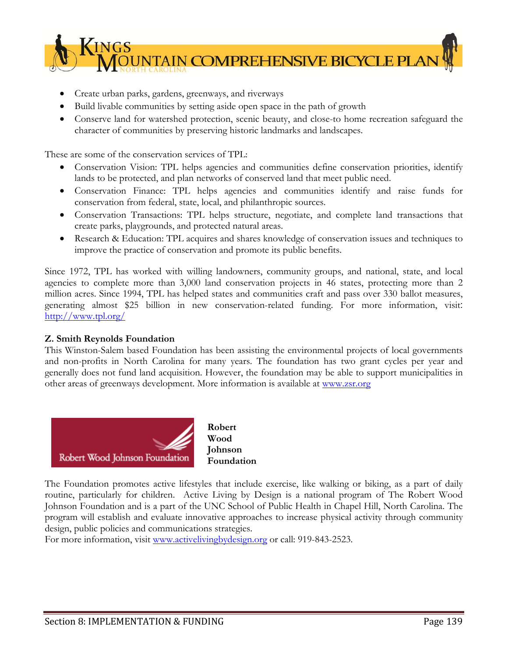

- Create urban parks, gardens, greenways, and riverways
- Build livable communities by setting aside open space in the path of growth
- Conserve land for watershed protection, scenic beauty, and close-to home recreation safeguard the character of communities by preserving historic landmarks and landscapes.

These are some of the conservation services of TPL:

- Conservation Vision: TPL helps agencies and communities define conservation priorities, identify lands to be protected, and plan networks of conserved land that meet public need.
- Conservation Finance: TPL helps agencies and communities identify and raise funds for conservation from federal, state, local, and philanthropic sources.
- Conservation Transactions: TPL helps structure, negotiate, and complete land transactions that create parks, playgrounds, and protected natural areas.
- Research & Education: TPL acquires and shares knowledge of conservation issues and techniques to improve the practice of conservation and promote its public benefits.

Since 1972, TPL has worked with willing landowners, community groups, and national, state, and local agencies to complete more than 3,000 land conservation projects in 46 states, protecting more than 2 million acres. Since 1994, TPL has helped states and communities craft and pass over 330 ballot measures, generating almost \$25 billion in new conservation-related funding. For more information, visit: http://www.tpl.org/

#### **Z. Smith Reynolds Foundation**

This Winston-Salem based Foundation has been assisting the environmental projects of local governments and non-profits in North Carolina for many years. The foundation has two grant cycles per year and generally does not fund land acquisition. However, the foundation may be able to support municipalities in other areas of greenways development. More information is available at www.zsr.org



The Foundation promotes active lifestyles that include exercise, like walking or biking, as a part of daily routine, particularly for children. Active Living by Design is a national program of The Robert Wood Johnson Foundation and is a part of the UNC School of Public Health in Chapel Hill, North Carolina. The program will establish and evaluate innovative approaches to increase physical activity through community design, public policies and communications strategies.

For more information, visit www.activelivingbydesign.org or call: 919-843-2523.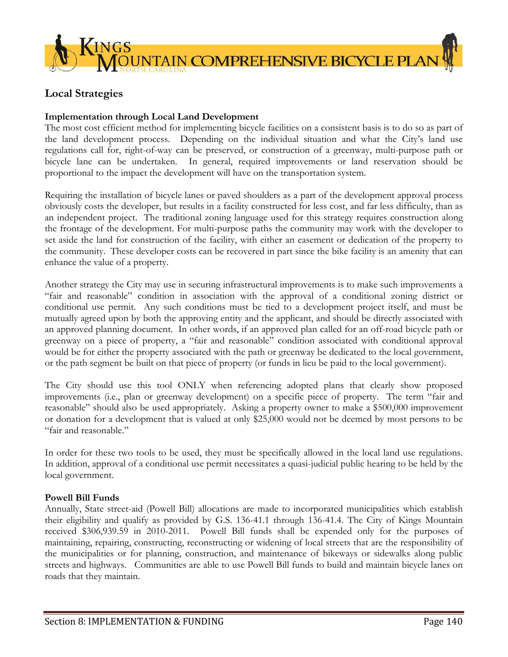

# **Local Strategies**

### **Implementation through Local Land Development**

The most cost efficient method for implementing bicycle facilities on a consistent basis is to do so as part of the land development process. Depending on the individual situation and what the City's land use regulations call for, right-of-way can be preserved, or construction of a greenway, multi-purpose path or bicycle lane can be undertaken. In general, required improvements or land reservation should be proportional to the impact the development will have on the transportation system.

Requiring the installation of bicycle lanes or paved shoulders as a part of the development approval process obviously costs the developer, but results in a facility constructed for less cost, and far less difficulty, than as an independent project. The traditional zoning language used for this strategy requires construction along the frontage of the development. For multi-purpose paths the community may work with the developer to set aside the land for construction of the facility, with either an easement or dedication of the property to the community. These developer costs can be recovered in part since the bike facility is an amenity that can enhance the value of a property.

Another strategy the City may use in securing infrastructural improvements is to make such improvements a "fair and reasonable" condition in association with the approval of a conditional zoning district or conditional use permit. Any such conditions must be tied to a development project itself, and must be mutually agreed upon by both the approving entity and the applicant, and should be directly associated with an approved planning document. In other words, if an approved plan called for an off-road bicycle path or greenway on a piece of property, a "fair and reasonable" condition associated with conditional approval would be for either the property associated with the path or greenway be dedicated to the local government, or the path segment be built on that piece of property (or funds in lieu be paid to the local government).

The City should use this tool ONLY when referencing adopted plans that clearly show proposed improvements (i.e., plan or greenway development) on a specific piece of property. The term "fair and reasonable" should also be used appropriately. Asking a property owner to make a \$500,000 improvement or donation for a development that is valued at only \$25,000 would not be deemed by most persons to be "fair and reasonable."

In order for these two tools to be used, they must be specifically allowed in the local land use regulations. In addition, approval of a conditional use permit necessitates a quasi-judicial public hearing to be held by the local government.

#### **Powell Bill Funds**

Annually, State street-aid (Powell Bill) allocations are made to incorporated municipalities which establish their eligibility and qualify as provided by G.S. 136-41.1 through 136-41.4. The City of Kings Mountain received \$306,939.59 in 2010-2011. Powell Bill funds shall be expended only for the purposes of maintaining, repairing, constructing, reconstructing or widening of local streets that are the responsibility of the municipalities or for planning, construction, and maintenance of bikeways or sidewalks along public streets and highways. Communities are able to use Powell Bill funds to build and maintain bicycle lanes on roads that they maintain.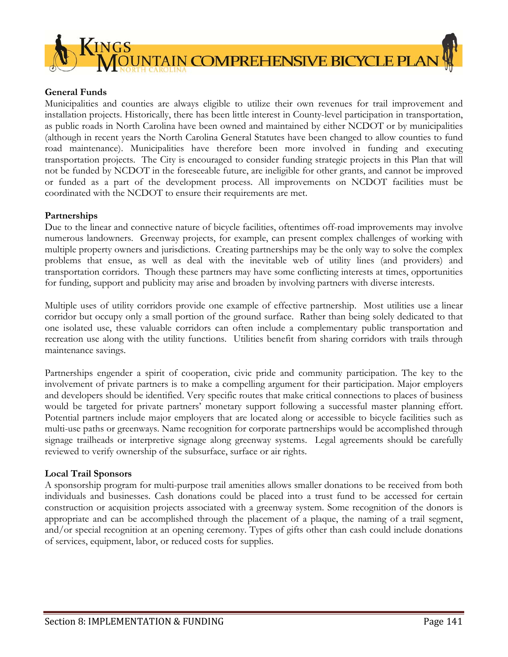

### **General Funds**

Municipalities and counties are always eligible to utilize their own revenues for trail improvement and installation projects. Historically, there has been little interest in County-level participation in transportation, as public roads in North Carolina have been owned and maintained by either NCDOT or by municipalities (although in recent years the North Carolina General Statutes have been changed to allow counties to fund road maintenance). Municipalities have therefore been more involved in funding and executing transportation projects. The City is encouraged to consider funding strategic projects in this Plan that will not be funded by NCDOT in the foreseeable future, are ineligible for other grants, and cannot be improved or funded as a part of the development process. All improvements on NCDOT facilities must be coordinated with the NCDOT to ensure their requirements are met.

#### **Partnerships**

Due to the linear and connective nature of bicycle facilities, oftentimes off-road improvements may involve numerous landowners. Greenway projects, for example, can present complex challenges of working with multiple property owners and jurisdictions. Creating partnerships may be the only way to solve the complex problems that ensue, as well as deal with the inevitable web of utility lines (and providers) and transportation corridors. Though these partners may have some conflicting interests at times, opportunities for funding, support and publicity may arise and broaden by involving partners with diverse interests.

Multiple uses of utility corridors provide one example of effective partnership. Most utilities use a linear corridor but occupy only a small portion of the ground surface. Rather than being solely dedicated to that one isolated use, these valuable corridors can often include a complementary public transportation and recreation use along with the utility functions. Utilities benefit from sharing corridors with trails through maintenance savings.

Partnerships engender a spirit of cooperation, civic pride and community participation. The key to the involvement of private partners is to make a compelling argument for their participation. Major employers and developers should be identified. Very specific routes that make critical connections to places of business would be targeted for private partners' monetary support following a successful master planning effort. Potential partners include major employers that are located along or accessible to bicycle facilities such as multi-use paths or greenways. Name recognition for corporate partnerships would be accomplished through signage trailheads or interpretive signage along greenway systems. Legal agreements should be carefully reviewed to verify ownership of the subsurface, surface or air rights.

#### **Local Trail Sponsors**

A sponsorship program for multi-purpose trail amenities allows smaller donations to be received from both individuals and businesses. Cash donations could be placed into a trust fund to be accessed for certain construction or acquisition projects associated with a greenway system. Some recognition of the donors is appropriate and can be accomplished through the placement of a plaque, the naming of a trail segment, and/or special recognition at an opening ceremony. Types of gifts other than cash could include donations of services, equipment, labor, or reduced costs for supplies.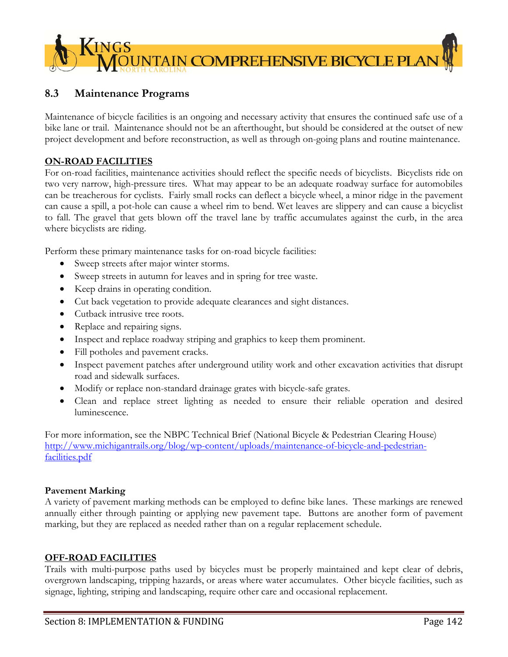

# **8.3 Maintenance Programs**

Maintenance of bicycle facilities is an ongoing and necessary activity that ensures the continued safe use of a bike lane or trail. Maintenance should not be an afterthought, but should be considered at the outset of new project development and before reconstruction, as well as through on-going plans and routine maintenance.

### **ON-ROAD FACILITIES**

For on-road facilities, maintenance activities should reflect the specific needs of bicyclists. Bicyclists ride on two very narrow, high-pressure tires. What may appear to be an adequate roadway surface for automobiles can be treacherous for cyclists. Fairly small rocks can deflect a bicycle wheel, a minor ridge in the pavement can cause a spill, a pot-hole can cause a wheel rim to bend. Wet leaves are slippery and can cause a bicyclist to fall. The gravel that gets blown off the travel lane by traffic accumulates against the curb, in the area where bicyclists are riding.

Perform these primary maintenance tasks for on-road bicycle facilities:

- Sweep streets after major winter storms.
- Sweep streets in autumn for leaves and in spring for tree waste.
- Keep drains in operating condition.
- Cut back vegetation to provide adequate clearances and sight distances.
- Cutback intrusive tree roots.
- Replace and repairing signs.
- Inspect and replace roadway striping and graphics to keep them prominent.
- Fill potholes and pavement cracks.
- Inspect pavement patches after underground utility work and other excavation activities that disrupt road and sidewalk surfaces.
- Modify or replace non-standard drainage grates with bicycle-safe grates.
- Clean and replace street lighting as needed to ensure their reliable operation and desired luminescence.

For more information, see the NBPC Technical Brief (National Bicycle & Pedestrian Clearing House) http://www.michigantrails.org/blog/wp-content/uploads/maintenance-of-bicycle-and-pedestrianfacilities.pdf

#### **Pavement Marking**

A variety of pavement marking methods can be employed to define bike lanes. These markings are renewed annually either through painting or applying new pavement tape. Buttons are another form of pavement marking, but they are replaced as needed rather than on a regular replacement schedule.

#### **OFF-ROAD FACILITIES**

Trails with multi-purpose paths used by bicycles must be properly maintained and kept clear of debris, overgrown landscaping, tripping hazards, or areas where water accumulates. Other bicycle facilities, such as signage, lighting, striping and landscaping, require other care and occasional replacement.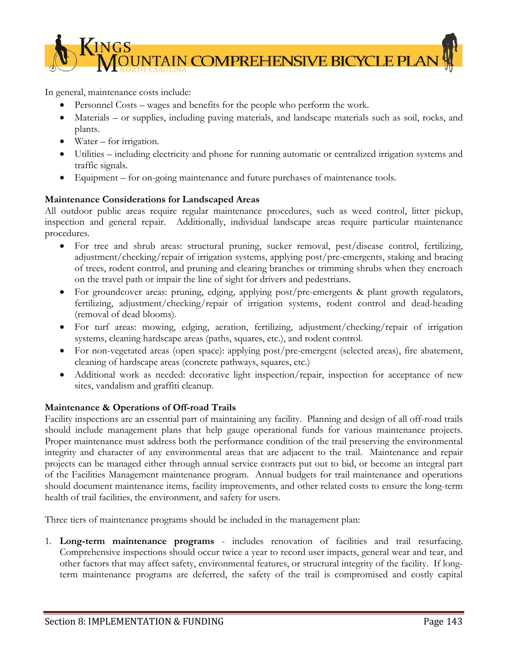

In general, maintenance costs include:

- Personnel Costs wages and benefits for the people who perform the work.
- Materials or supplies, including paving materials, and landscape materials such as soil, rocks, and plants.
- Water for irrigation.
- Utilities including electricity and phone for running automatic or centralized irrigation systems and traffic signals.
- Equipment for on-going maintenance and future purchases of maintenance tools.

## **Maintenance Considerations for Landscaped Areas**

All outdoor public areas require regular maintenance procedures, such as weed control, litter pickup, inspection and general repair. Additionally, individual landscape areas require particular maintenance procedures.

- For tree and shrub areas: structural pruning, sucker removal, pest/disease control, fertilizing, adjustment/checking/repair of irrigation systems, applying post/pre-emergents, staking and bracing of trees, rodent control, and pruning and clearing branches or trimming shrubs when they encroach on the travel path or impair the line of sight for drivers and pedestrians.
- For groundcover areas: pruning, edging, applying post/pre-emergents & plant growth regulators, fertilizing, adjustment/checking/repair of irrigation systems, rodent control and dead-heading (removal of dead blooms).
- For turf areas: mowing, edging, aeration, fertilizing, adjustment/checking/repair of irrigation systems, cleaning hardscape areas (paths, squares, etc.), and rodent control.
- For non-vegetated areas (open space): applying post/pre-emergent (selected areas), fire abatement, cleaning of hardscape areas (concrete pathways, squares, etc.)
- Additional work as needed: decorative light inspection/repair, inspection for acceptance of new sites, vandalism and graffiti cleanup.

## **Maintenance & Operations of Off-road Trails**

Facility inspections are an essential part of maintaining any facility. Planning and design of all off-road trails should include management plans that help gauge operational funds for various maintenance projects. Proper maintenance must address both the performance condition of the trail preserving the environmental integrity and character of any environmental areas that are adjacent to the trail. Maintenance and repair projects can be managed either through annual service contracts put out to bid, or become an integral part of the Facilities Management maintenance program. Annual budgets for trail maintenance and operations should document maintenance items, facility improvements, and other related costs to ensure the long-term health of trail facilities, the environment, and safety for users.

Three tiers of maintenance programs should be included in the management plan:

1. **Long-term maintenance programs** - includes renovation of facilities and trail resurfacing. Comprehensive inspections should occur twice a year to record user impacts, general wear and tear, and other factors that may affect safety, environmental features, or structural integrity of the facility. If longterm maintenance programs are deferred, the safety of the trail is compromised and costly capital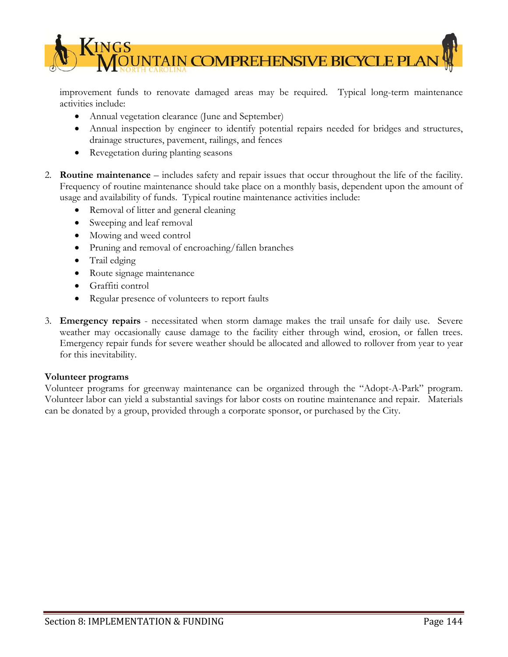

improvement funds to renovate damaged areas may be required. Typical long-term maintenance activities include:

- Annual vegetation clearance (June and September)
- Annual inspection by engineer to identify potential repairs needed for bridges and structures, drainage structures, pavement, railings, and fences
- Revegetation during planting seasons
- 2. **Routine maintenance** includes safety and repair issues that occur throughout the life of the facility. Frequency of routine maintenance should take place on a monthly basis, dependent upon the amount of usage and availability of funds. Typical routine maintenance activities include:
	- Removal of litter and general cleaning
	- Sweeping and leaf removal
	- Mowing and weed control
	- Pruning and removal of encroaching/fallen branches
	- Trail edging
	- Route signage maintenance
	- Graffiti control
	- Regular presence of volunteers to report faults
- 3. **Emergency repairs** necessitated when storm damage makes the trail unsafe for daily use. Severe weather may occasionally cause damage to the facility either through wind, erosion, or fallen trees. Emergency repair funds for severe weather should be allocated and allowed to rollover from year to year for this inevitability.

## **Volunteer programs**

Volunteer programs for greenway maintenance can be organized through the "Adopt-A-Park" program. Volunteer labor can yield a substantial savings for labor costs on routine maintenance and repair. Materials can be donated by a group, provided through a corporate sponsor, or purchased by the City.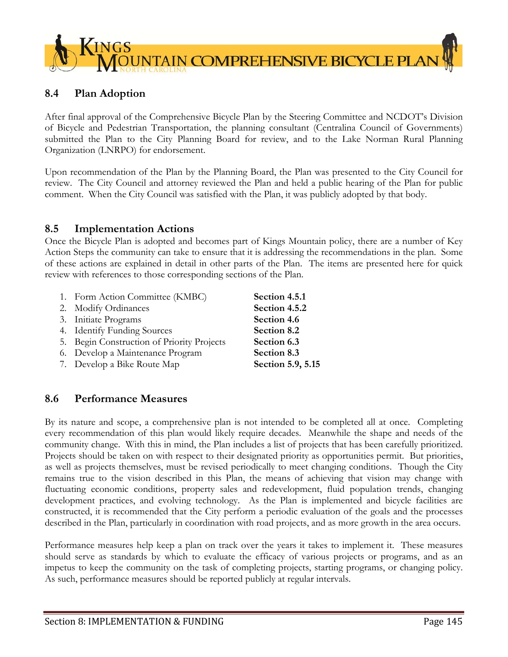

## **8.4 Plan Adoption**

After final approval of the Comprehensive Bicycle Plan by the Steering Committee and NCDOT's Division of Bicycle and Pedestrian Transportation, the planning consultant (Centralina Council of Governments) submitted the Plan to the City Planning Board for review, and to the Lake Norman Rural Planning Organization (LNRPO) for endorsement.

Upon recommendation of the Plan by the Planning Board, the Plan was presented to the City Council for review. The City Council and attorney reviewed the Plan and held a public hearing of the Plan for public comment. When the City Council was satisfied with the Plan, it was publicly adopted by that body.

## **8.5 Implementation Actions**

Once the Bicycle Plan is adopted and becomes part of Kings Mountain policy, there are a number of Key Action Steps the community can take to ensure that it is addressing the recommendations in the plan. Some of these actions are explained in detail in other parts of the Plan. The items are presented here for quick review with references to those corresponding sections of the Plan.

| 1. Form Action Committee (KMBC)            | Section 4.5.1     |
|--------------------------------------------|-------------------|
| 2. Modify Ordinances                       | Section 4.5.2     |
| 3. Initiate Programs                       | Section 4.6       |
| 4. Identify Funding Sources                | Section 8.2       |
| 5. Begin Construction of Priority Projects | Section 6.3       |
| 6. Develop a Maintenance Program           | Section 8.3       |
| 7. Develop a Bike Route Map                | Section 5.9, 5.15 |

# **8.6 Performance Measures**

By its nature and scope, a comprehensive plan is not intended to be completed all at once. Completing every recommendation of this plan would likely require decades. Meanwhile the shape and needs of the community change. With this in mind, the Plan includes a list of projects that has been carefully prioritized. Projects should be taken on with respect to their designated priority as opportunities permit. But priorities, as well as projects themselves, must be revised periodically to meet changing conditions. Though the City remains true to the vision described in this Plan, the means of achieving that vision may change with fluctuating economic conditions, property sales and redevelopment, fluid population trends, changing development practices, and evolving technology. As the Plan is implemented and bicycle facilities are constructed, it is recommended that the City perform a periodic evaluation of the goals and the processes described in the Plan, particularly in coordination with road projects, and as more growth in the area occurs.

Performance measures help keep a plan on track over the years it takes to implement it. These measures should serve as standards by which to evaluate the efficacy of various projects or programs, and as an impetus to keep the community on the task of completing projects, starting programs, or changing policy. As such, performance measures should be reported publicly at regular intervals.